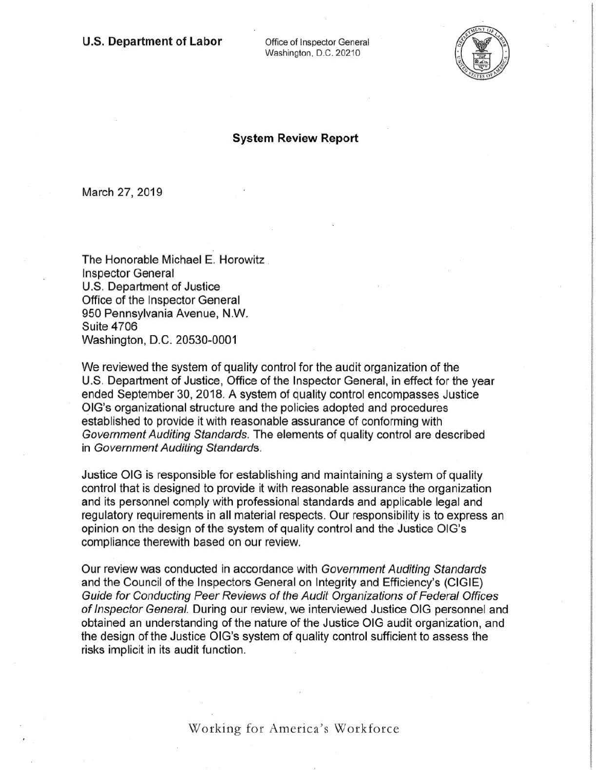Washington, D.C. 20210



## **System Review Report**

March 27, 2019

The Honorable Michael E. Horowitz Inspector General U.S. Department of Justice Office of the Inspector General 950 Pennsylvania Avenue, **N.W.**  Suite 4706 Washington, D.C. 20530-0001

We reviewed the system of quality control for the audit organization of the U.S. Department of Justice, Office of the Inspector General, in effect for the year ended September 30, 2018. A system of quality control encompasses Justice OIG's organizational structure and the policies adopted and procedures established to provide it with reasonable assurance of conforming with Government Auditing Standards. The elements of quality control are described in Government Auditing Standards.

Justice OIG is responsible for establishing and maintaining a system of quality control that is designed to provide it with reasonable assurance the organization and its personnel comply with professional standards and applicable legal and regulatory requirements in all material respects. Our responsibjlity is to express an opinion on the design of the system of quality control and the Justice OIG's compliance therewith based on our review.

Our review was conducted in accordance with Government Auditing Standards and the Council of the Inspectors General on Integrity and Efficiency's (CIGIE) Guide for Conducting Peer Reviews of the Audit Organizations of Federal Offices of Inspector General. During our review, we interviewed Justice OIG personnel and obtained an understanding of the nature of the Justice OIG audit organization, and the design of the Justice OIG's system of quality control sufficient to assess the risks implicit in its audit function.

Working for America's Workforce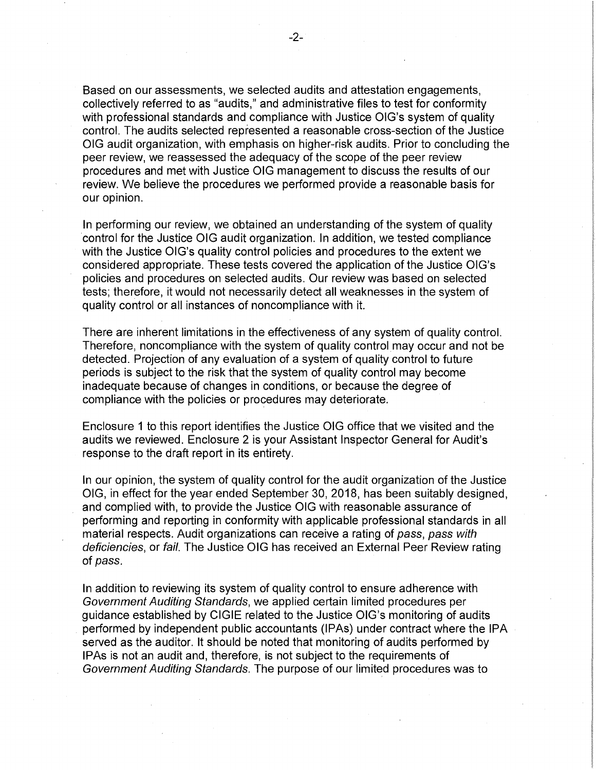Based on our assessments, we selected audits and attestation engagements, collectively referred to as "audits," and administrative files to test for conformity with professional standards and compliance with Justice OIG's system of quality control. The audits selected represented a reasonable cross-section of the Justice OIG audit organization, with emphasis on higher-risk audits. Prior to concluding the peer review, we reassessed the adequacy of the scope of the peer review procedures and met with Justice OIG management to discuss the results of our review. We believe the procedures we performed provide a reasonable basis for our opinion.

In performing our review, we obtained an understanding of the system of quality control for the Justice OIG audit organization. In addition, we tested compliance with the Justice OIG's quality control policies and procedures to the extent we considered appropriate. These tests covered the application of the Justice OIG's policies and procedures on selected audits. Our review was based on selected tests; therefore, it would not necessarily detect all weaknesses in the system of quality control or all instances of noncompliance with it.

There are inherent limitations in the effectiveness of any system of quality control. Therefore, noncompliance with the system of quality control may occur and not be detected. Projection of any evaluation of a system of quality control to future periods is subject to the risk that the system of quality control may become inadequate because of changes in conditions, or because the degree of compliance with the policies or procedures may deteriorate.

Enclosure 1 to this report identifies the Justice OIG office that we visited and the audits we reviewed. Enclosure 2 is your Assistant Inspector General for Audit's response to the draft report in its entirety.

In our opinion, the system of quality control for the audit organization of the Justice OIG, in effect for the year ended September 30, 2018, has been suitably designed, and complied with, to provide the Justice OIG with reasonable assurance of performing and reporting in conformity with applicable professional standards in all material respects. Audit organizations can receive a rating of pass, pass with deficiencies, or fail. The Justice OIG has received an External Peer Review rating of pass.

In addition to reviewing its system of quality control to ensure adherence with Government Auditing Standards, we applied certain limited procedures per guidance established by CIGIE related to the Justice OIG's monitoring of audits performed by independent public accountants (IPAs) under contract where the IPA served as the auditor. It should be noted that monitoring of audits performed by IPAs is not an audit and, therefore, is not subject to the requirements of Government Auditing Standards. The purpose of our limited procedures was to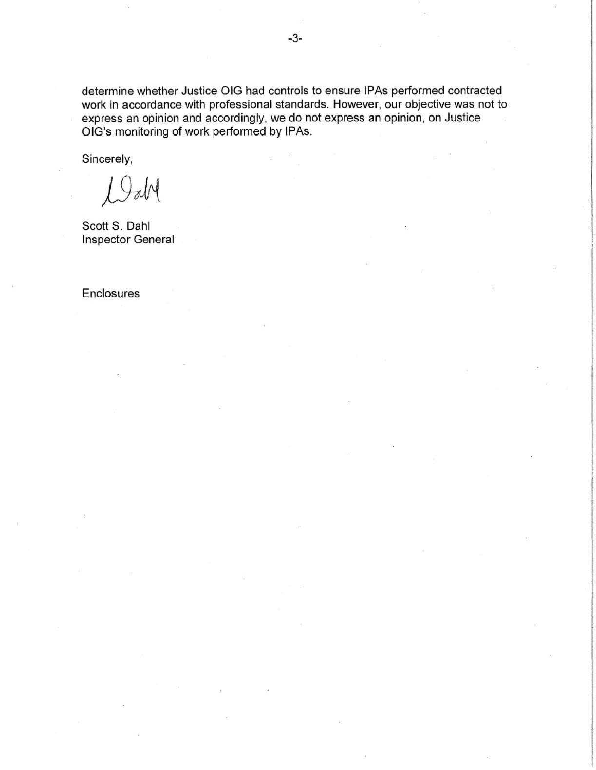determine whether Justice OIG had controls to ensure IPAs performed contracted work in accordance with professional standards. However, our objective was not to express an opinion and accordingly, we do not express an opinion, on Justice OIG's monitoring of work performed by IPAs.

Sincerely,

abl 19

Scott S. Dahl Inspector General

Enclosures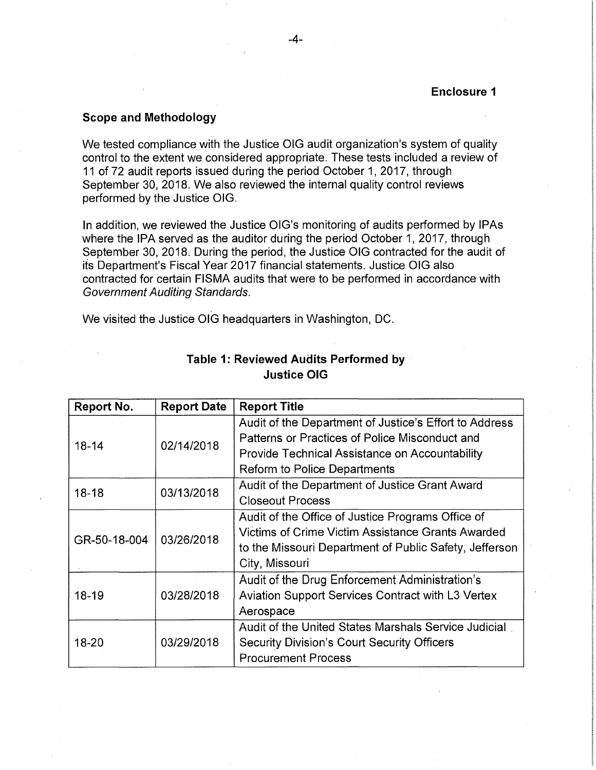### **Scope and Methodology**

We tested compliance with the Justice OIG audit organization's system of quality control to the extent we considered appropriate. These tests included a review of 11 of 72 audit reports issued during the period October 1, 2017, through September 30, 2018. We also reviewed the internal quality control reviews performed by the Justice OIG.

In addition, we reviewed the Justice OIG's monitoring of audits performed by IPAs where the IPA served as the auditor during the period October 1, 2017, through September 30, 2018. During the period, the Justice OIG contracted for the audit of its Department's Fiscal Year 2017 financial statements. Justice OIG also contracted for certain FISMA audits that were to be performed in accordance with Government Auditing Standards.

We visited the Justice OIG headquarters in Washington, DC.

| <b>Report No.</b> | <b>Report Date</b> | <b>Report Title</b>                                    |
|-------------------|--------------------|--------------------------------------------------------|
| $18 - 14$         | 02/14/2018         | Audit of the Department of Justice's Effort to Address |
|                   |                    | Patterns or Practices of Police Misconduct and         |
|                   |                    | Provide Technical Assistance on Accountability         |
|                   |                    | <b>Reform to Police Departments</b>                    |
| $18 - 18$         | 03/13/2018         | Audit of the Department of Justice Grant Award         |
|                   |                    | <b>Closeout Process</b>                                |
| GR-50-18-004      | 03/26/2018         | Audit of the Office of Justice Programs Office of      |
|                   |                    | Victims of Crime Victim Assistance Grants Awarded      |
|                   |                    | to the Missouri Department of Public Safety, Jefferson |
|                   |                    | City, Missouri                                         |
| $18 - 19$         | 03/28/2018         | Audit of the Drug Enforcement Administration's         |
|                   |                    | Aviation Support Services Contract with L3 Vertex      |
|                   |                    | Aerospace                                              |
| $18 - 20$         | 03/29/2018         | Audit of the United States Marshals Service Judicial   |
|                   |                    | <b>Security Division's Court Security Officers</b>     |
|                   |                    | <b>Procurement Process</b>                             |

# **Table 1: Reviewed Audits Performed by Justice OIG**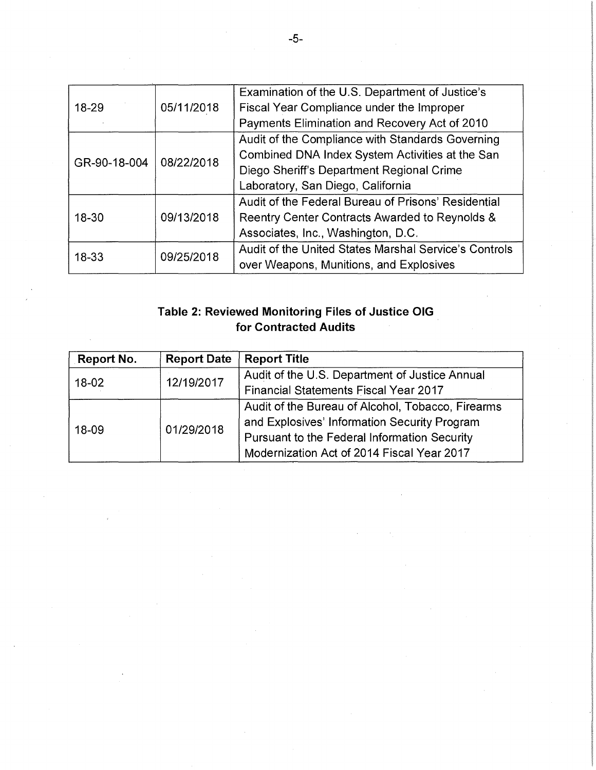| $18 - 29$    | 05/11/2018 | Examination of the U.S. Department of Justice's       |
|--------------|------------|-------------------------------------------------------|
|              |            | Fiscal Year Compliance under the Improper             |
|              |            | Payments Elimination and Recovery Act of 2010         |
| GR-90-18-004 | 08/22/2018 | Audit of the Compliance with Standards Governing      |
|              |            | Combined DNA Index System Activities at the San       |
|              |            | Diego Sheriff's Department Regional Crime             |
|              |            | Laboratory, San Diego, California                     |
| $18 - 30$    | 09/13/2018 | Audit of the Federal Bureau of Prisons' Residential   |
|              |            | Reentry Center Contracts Awarded to Reynolds &        |
|              |            | Associates, Inc., Washington, D.C.                    |
| 18-33        | 09/25/2018 | Audit of the United States Marshal Service's Controls |
|              |            | over Weapons, Munitions, and Explosives               |

# **Table 2: Reviewed Monitoring Files of Justice OIG** . **for Contracted Audits**

| Report No. | <b>Report Date</b> | <b>Report Title</b>                               |
|------------|--------------------|---------------------------------------------------|
| $18-02$    | 12/19/2017         | Audit of the U.S. Department of Justice Annual    |
|            |                    | <b>Financial Statements Fiscal Year 2017</b>      |
| 18-09      | 01/29/2018         | Audit of the Bureau of Alcohol, Tobacco, Firearms |
|            |                    | and Explosives' Information Security Program      |
|            |                    | Pursuant to the Federal Information Security      |
|            |                    | Modernization Act of 2014 Fiscal Year 2017        |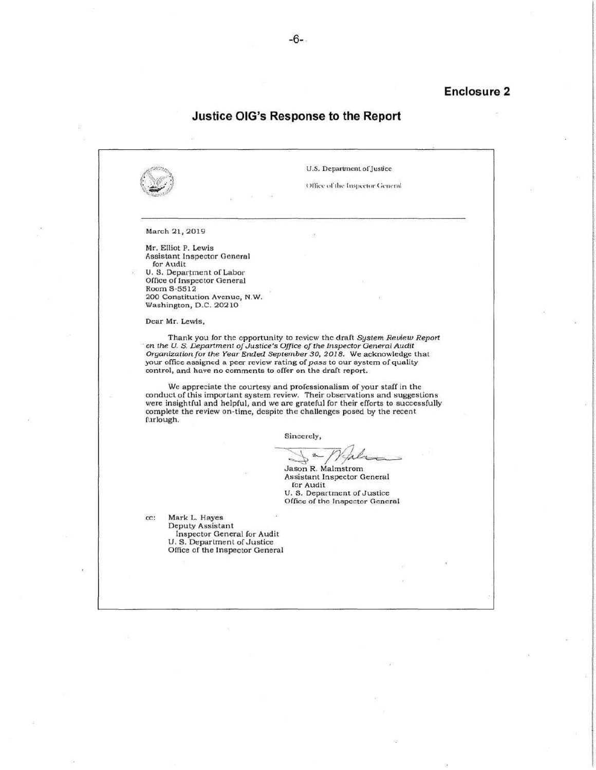### **Enclosure 2**

## **Justice OIG's Response to the Report**

U.S. Department of Justice Office of the Inspector General March 2l, 2019 Mr. Elliot P. Lewis Assistant Inspector General for Audit U. S. Department of Labor Office of Inspector General Room S -5512 200 Constitution Avenue, N.W . Washington, D.C. 20210 Dear Mr. Lewis, Thank you for the opportunity to review the draft *System Review Report*  · on *the U. S. Department of* Justice's *Office of the Inspector General* Audit *Organization for the Year Ended September 30, 2018.* We acknowledge that your office assigned a peer review rating of *pass* to our system of quality control, and huve no comments to offer on the draft report. We appreciate the courtesy and professionalism of your staff in the conduct of this important system review. Their observations and suggestions were insightful and helpful, and we are grateful for their efforts to successfully complete the review on-time, despite the challenges posed by the recent furlough . Sincerely, Jason R. Malmstrom Assistant Inspector General for Audit U. S. Department of Justice Office of the Inspector General cc: Mark L. Hayes Deputy Assistant Inspector General for Audit U. S. Department of Justice Office or the Inspector General